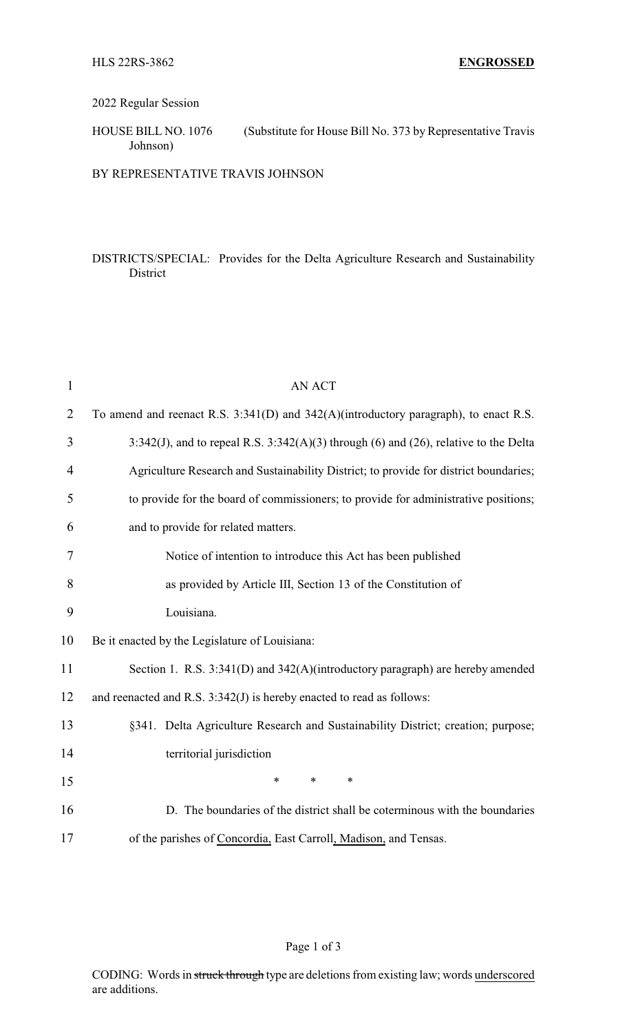## 2022 Regular Session

HOUSE BILL NO. 1076 (Substitute for House Bill No. 373 by Representative Travis Johnson)

BY REPRESENTATIVE TRAVIS JOHNSON

## DISTRICTS/SPECIAL: Provides for the Delta Agriculture Research and Sustainability District

| $\mathbf{1}$   | <b>AN ACT</b>                                                                          |
|----------------|----------------------------------------------------------------------------------------|
| $\overline{2}$ | To amend and reenact R.S. 3:341(D) and 342(A)(introductory paragraph), to enact R.S.   |
| 3              | 3:342(J), and to repeal R.S. $3:342(A)(3)$ through (6) and (26), relative to the Delta |
| 4              | Agriculture Research and Sustainability District; to provide for district boundaries;  |
| 5              | to provide for the board of commissioners; to provide for administrative positions;    |
| 6              | and to provide for related matters.                                                    |
| 7              | Notice of intention to introduce this Act has been published                           |
| 8              | as provided by Article III, Section 13 of the Constitution of                          |
| 9              | Louisiana.                                                                             |
| 10             | Be it enacted by the Legislature of Louisiana:                                         |
| 11             | Section 1. R.S. 3:341(D) and 342(A)(introductory paragraph) are hereby amended         |
| 12             | and reenacted and R.S. 3:342(J) is hereby enacted to read as follows:                  |
| 13             | §341. Delta Agriculture Research and Sustainability District; creation; purpose;       |
| 14             | territorial jurisdiction                                                               |
| 15             | $\ast$<br>$\ast$<br>$\ast$                                                             |
| 16             | D. The boundaries of the district shall be coterminous with the boundaries             |
| 17             | of the parishes of Concordia, East Carroll, Madison, and Tensas.                       |

## Page 1 of 3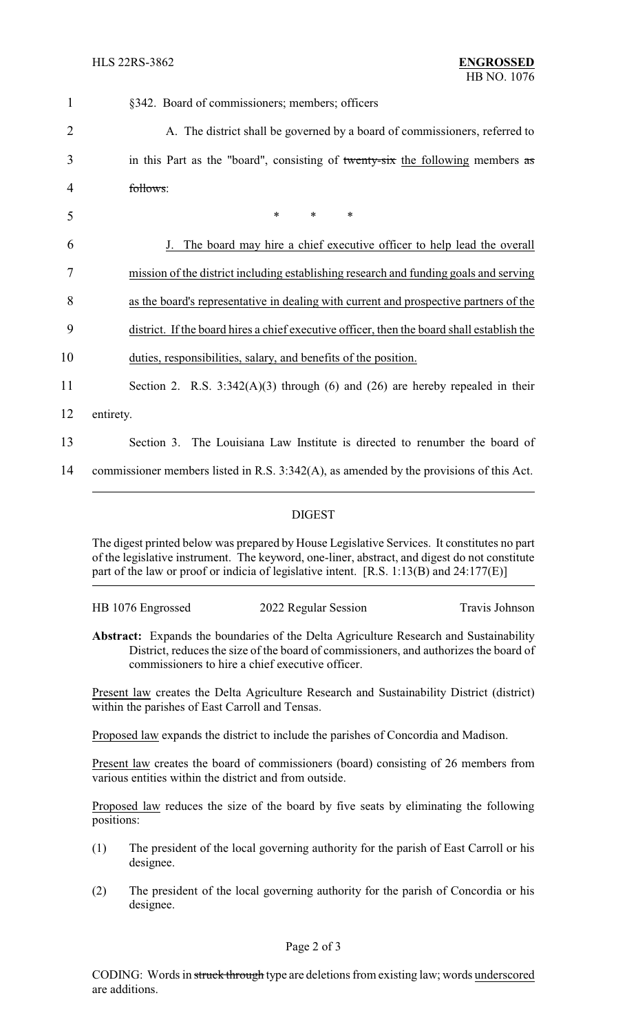| $\mathbf{1}$   | §342. Board of commissioners; members; officers                                            |  |  |
|----------------|--------------------------------------------------------------------------------------------|--|--|
| $\overline{2}$ | A. The district shall be governed by a board of commissioners, referred to                 |  |  |
| 3              | in this Part as the "board", consisting of twenty-six the following members as             |  |  |
| 4              | follows:                                                                                   |  |  |
| 5              | $\ast$<br>$\ast$<br>*                                                                      |  |  |
| 6              | The board may hire a chief executive officer to help lead the overall                      |  |  |
| 7              | mission of the district including establishing research and funding goals and serving      |  |  |
| 8              | as the board's representative in dealing with current and prospective partners of the      |  |  |
| 9              | district. If the board hires a chief executive officer, then the board shall establish the |  |  |
| 10             | duties, responsibilities, salary, and benefits of the position.                            |  |  |
| 11             | Section 2. R.S. $3:342(A)(3)$ through (6) and (26) are hereby repealed in their            |  |  |
| 12             | entirety.                                                                                  |  |  |
| 13             | Section 3. The Louisiana Law Institute is directed to renumber the board of                |  |  |
| 14             | commissioner members listed in R.S. 3:342(A), as amended by the provisions of this Act.    |  |  |

## DIGEST

The digest printed below was prepared by House Legislative Services. It constitutes no part of the legislative instrument. The keyword, one-liner, abstract, and digest do not constitute part of the law or proof or indicia of legislative intent. [R.S. 1:13(B) and 24:177(E)]

| HB 1076 Engrossed | 2022 Regular Session |                |
|-------------------|----------------------|----------------|
|                   |                      | Travis Johnson |
|                   |                      |                |

**Abstract:** Expands the boundaries of the Delta Agriculture Research and Sustainability District, reduces the size of the board of commissioners, and authorizes the board of commissioners to hire a chief executive officer.

Present law creates the Delta Agriculture Research and Sustainability District (district) within the parishes of East Carroll and Tensas.

Proposed law expands the district to include the parishes of Concordia and Madison.

Present law creates the board of commissioners (board) consisting of 26 members from various entities within the district and from outside.

Proposed law reduces the size of the board by five seats by eliminating the following positions:

- (1) The president of the local governing authority for the parish of East Carroll or his designee.
- (2) The president of the local governing authority for the parish of Concordia or his designee.